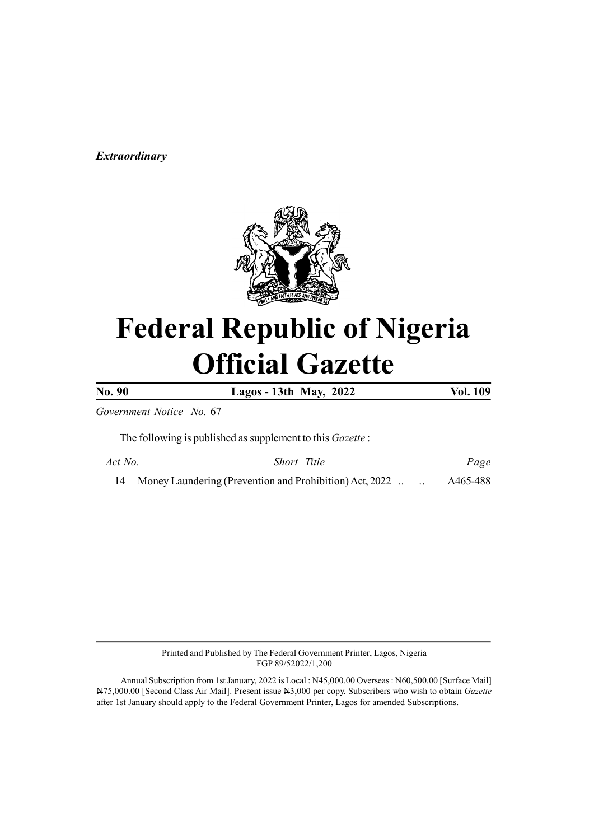#### (Prevention and Prohibition) Act, 2022 Extraordinary



# Federal Republic of Nigeria Official Gazette

No. 90 Lagos - 13th May, 2022 Vol. 109

Government Notice No. 67

The following is published as supplement to this Gazette :

| Act No. | Short Title                                                |  | Page     |
|---------|------------------------------------------------------------|--|----------|
|         | 14 Money Laundering (Prevention and Prohibition) Act, 2022 |  | A465-488 |

Printed and Published by The Federal Government Printer, Lagos, Nigeria FGP 89/52022/1,200

Annual Subscription from 1st January, 2022 is Local : N45,000.00 Overseas : N60,500.00 [Surface Mail] N75,000.00 [Second Class Air Mail]. Present issue N3,000 per copy. Subscribers who wish to obtain Gazette after 1st January should apply to the Federal Government Printer, Lagos for amended Subscriptions.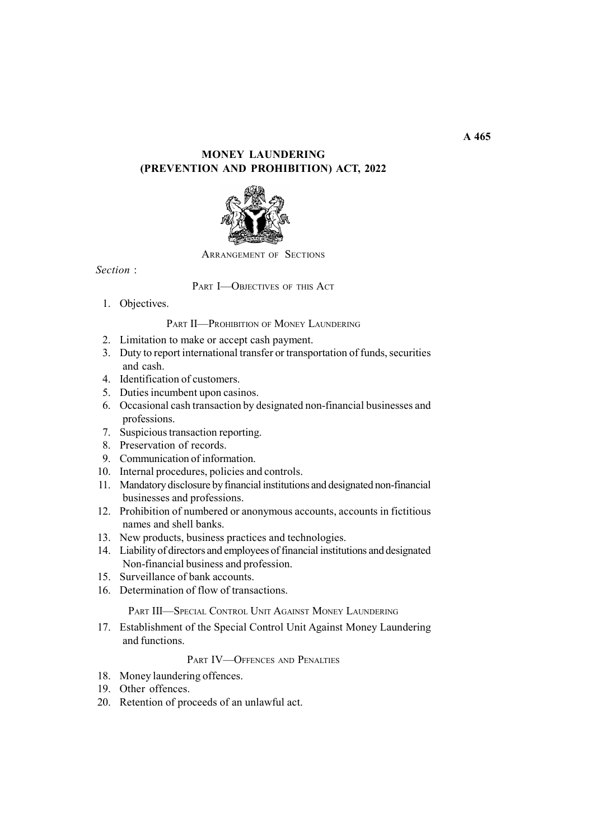## MONEY LAUNDERING (PREVENTION AND PROHIBITION) ACT, 2022



ARRANGEMENT OF SECTIONS

Section :

PART **I**-OBJECTIVES OF THIS ACT

1. Objectives.

### PART II-PROHIBITION OF MONEY LAUNDERING

- 2. Limitation to make or accept cash payment.
- 3. Duty to report international transfer or transportation of funds, securities and cash.
- 4. Identification of customers.
- 5. Duties incumbent upon casinos.
- 6. Occasional cash transaction by designated non-financial businesses and professions.
- 7. Suspicious transaction reporting.
- 8. Preservation of records.
- 9. Communication of information.
- 10. Internal procedures, policies and controls.
- 11. Mandatory disclosure by financial institutions and designated non-financial businesses and professions.
- 12. Prohibition of numbered or anonymous accounts, accounts in fictitious names and shell banks.
- 13. New products, business practices and technologies.
- 14. Liability of directors and employees of financial institutions and designated Non-financial business and profession.
- 15. Surveillance of bank accounts.
- 16. Determination of flow of transactions.

PART III—SPECIAL CONTROL UNIT AGAINST MONEY LAUNDERING

17. Establishment of the Special Control Unit Against Money Laundering and functions.

#### PART IV-OFFENCES AND PENALTIES

- 18. Money laundering offences.
- 19. Other offences.
- 20. Retention of proceeds of an unlawful act.

 $\overline{A}$  465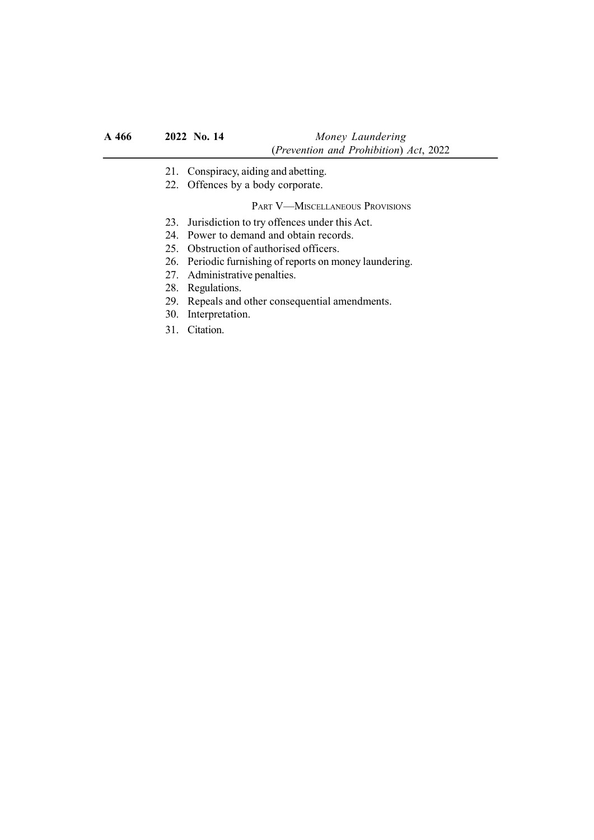- 21. Conspiracy, aiding and abetting.
- 22. Offences by a body corporate.

### PART V—MISCELLANEOUS PROVISIONS

- 23. Jurisdiction to try offences under this Act.
- 24. Power to demand and obtain records.
- 25. Obstruction of authorised officers.
- 26. Periodic furnishing of reports on money laundering.
- 27. Administrative penalties.
- 28. Regulations.
- 29. Repeals and other consequential amendments.
- 30. Interpretation.
- 31. Citation.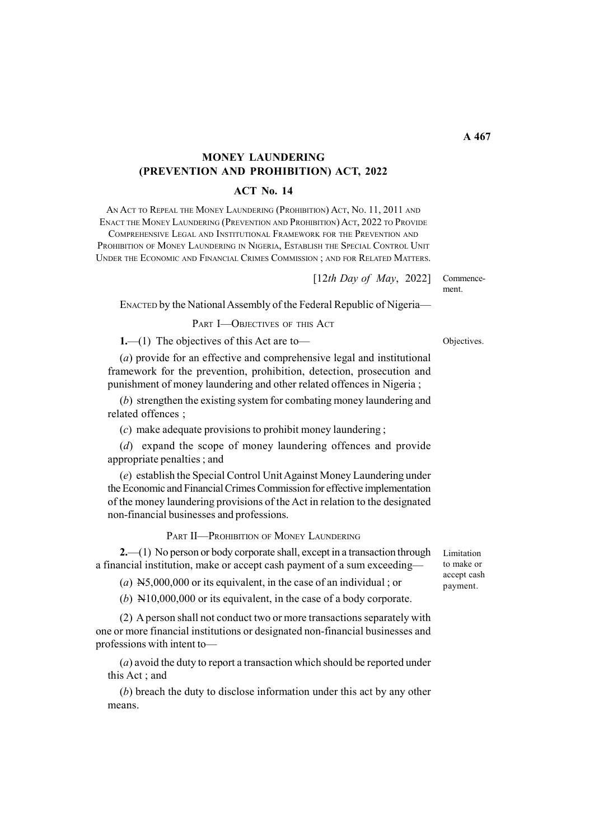# MONEY LAUNDERING (PREVENTION AND PROHIBITION) ACT, 2022

#### ACT No. 14

AN ACT TO REPEAL THE MONEY LAUNDERING (PROHIBITION) ACT, No. 11, 2011 AND ENACT THE MONEY LAUNDERING (PREVENTION AND PROHIBITION) ACT, 2022 TO PROVIDE

COMPREHENSIVE LEGAL AND INSTITUTIONAL FRAMEWORK FOR THE PREVENTION AND PROHIBITION OF MONEY LAUNDERING IN NIGERIA, ESTABLISH THE SPECIAL CONTROL UNIT UNDER THE ECONOMIC AND FINANCIAL CRIMES COMMISSION ; AND FOR RELATED MATTERS.

> Commencement.  $[12th$  Day of May, 2022]

ENACTED by the National Assembly of the Federal Republic of Nigeria—

PART **I**-OBJECTIVES OF THIS ACT

1.—(1) The objectives of this Act are to—

(a) provide for an effective and comprehensive legal and institutional framework for the prevention, prohibition, detection, prosecution and punishment of money laundering and other related offences in Nigeria ;

(b) strengthen the existing system for combating money laundering and related offences ;

(c) make adequate provisions to prohibit money laundering ;

(d) expand the scope of money laundering offences and provide appropriate penalties ; and

(e) establish the Special Control Unit Against Money Laundering under the Economic and Financial Crimes Commission for effective implementation of the money laundering provisions of the Act in relation to the designated non-financial businesses and professions.

PART II-PROHIBITION OF MONEY LAUNDERING

2.—(1) No person or body corporate shall, except in a transaction through a financial institution, make or accept cash payment of a sum exceeding—

(a)  $N5,000,000$  or its equivalent, in the case of an individual; or

(b) N10,000,000 or its equivalent, in the case of a body corporate.

(2) A person shall not conduct two or more transactions separately with one or more financial institutions or designated non-financial businesses and professions with intent to—

(a) avoid the duty to report a transaction which should be reported under this Act ; and

(b) breach the duty to disclose information under this act by any other means.

Limitation to make or accept cash payment.

Objectives.

 $\overline{A}$  467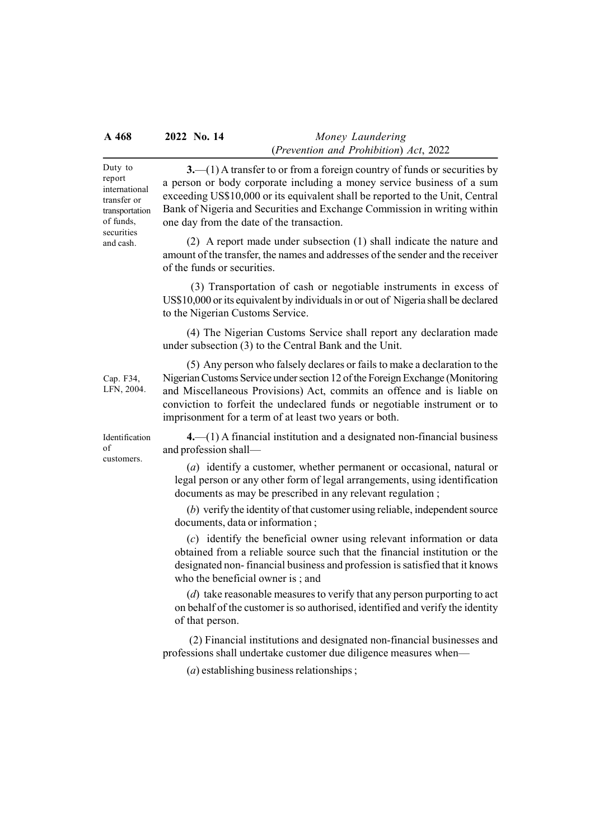#### A 468 2022 No. 14 Money Laundering (Prevention and Prohibition) Act, 2022

Duty to report international transfer or transportation of funds, securities and cash.

3.—(1) A transfer to or from a foreign country of funds or securities by a person or body corporate including a money service business of a sum exceeding US\$10,000 or its equivalent shall be reported to the Unit, Central Bank of Nigeria and Securities and Exchange Commission in writing within one day from the date of the transaction.

(2) A report made under subsection (1) shall indicate the nature and amount of the transfer, the names and addresses of the sender and the receiver of the funds or securities.

 (3) Transportation of cash or negotiable instruments in excess of US\$10,000 or its equivalent by individuals in or out of Nigeria shall be declared to the Nigerian Customs Service.

(4) The Nigerian Customs Service shall report any declaration made under subsection (3) to the Central Bank and the Unit.

(5) Any person who falsely declares or fails to make a declaration to the Nigerian Customs Service under section 12 of the Foreign Exchange (Monitoring

Cap. F34, LFN, 2004.

Identification of customers.

and Miscellaneous Provisions) Act, commits an offence and is liable on conviction to forfeit the undeclared funds or negotiable instrument or to imprisonment for a term of at least two years or both.

4.—(1) A financial institution and a designated non-financial business and profession shall—

(a) identify a customer, whether permanent or occasional, natural or legal person or any other form of legal arrangements, using identification documents as may be prescribed in any relevant regulation ;

(b) verify the identity of that customer using reliable, independent source documents, data or information ;

(c) identify the beneficial owner using relevant information or data obtained from a reliable source such that the financial institution or the designated non- financial business and profession is satisfied that it knows who the beneficial owner is ; and

(d) take reasonable measures to verify that any person purporting to act on behalf of the customer is so authorised, identified and verify the identity of that person.

 (2) Financial institutions and designated non-financial businesses and professions shall undertake customer due diligence measures when—

(a) establishing business relationships ;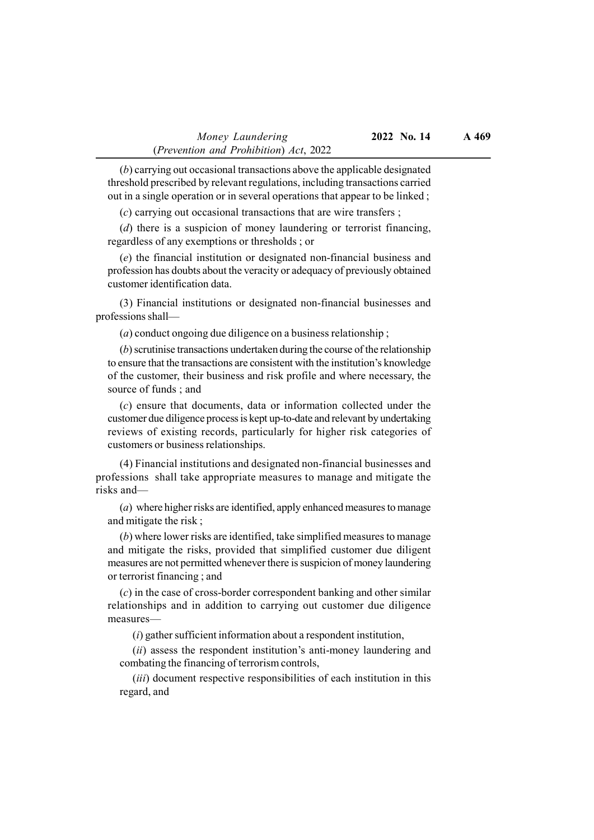(b) carrying out occasional transactions above the applicable designated threshold prescribed by relevant regulations, including transactions carried out in a single operation or in several operations that appear to be linked ;

(c) carrying out occasional transactions that are wire transfers ;

(d) there is a suspicion of money laundering or terrorist financing, regardless of any exemptions or thresholds ; or

(e) the financial institution or designated non-financial business and profession has doubts about the veracity or adequacy of previously obtained customer identification data.

(3) Financial institutions or designated non-financial businesses and professions shall—

(a) conduct ongoing due diligence on a business relationship ;

(b) scrutinise transactions undertaken during the course of the relationship to ensure that the transactions are consistent with the institution's knowledge of the customer, their business and risk profile and where necessary, the source of funds ; and

(c) ensure that documents, data or information collected under the customer due diligence process is kept up-to-date and relevant by undertaking reviews of existing records, particularly for higher risk categories of customers or business relationships.

(4) Financial institutions and designated non-financial businesses and professions shall take appropriate measures to manage and mitigate the risks and—

(a) where higher risks are identified, apply enhanced measures to manage and mitigate the risk ;

(b) where lower risks are identified, take simplified measures to manage and mitigate the risks, provided that simplified customer due diligent measures are not permitted whenever there is suspicion of money laundering or terrorist financing ; and

(c) in the case of cross-border correspondent banking and other similar relationships and in addition to carrying out customer due diligence measures—

(i) gather sufficient information about a respondent institution,

(ii) assess the respondent institution's anti-money laundering and combating the financing of terrorism controls,

(*iii*) document respective responsibilities of each institution in this regard, and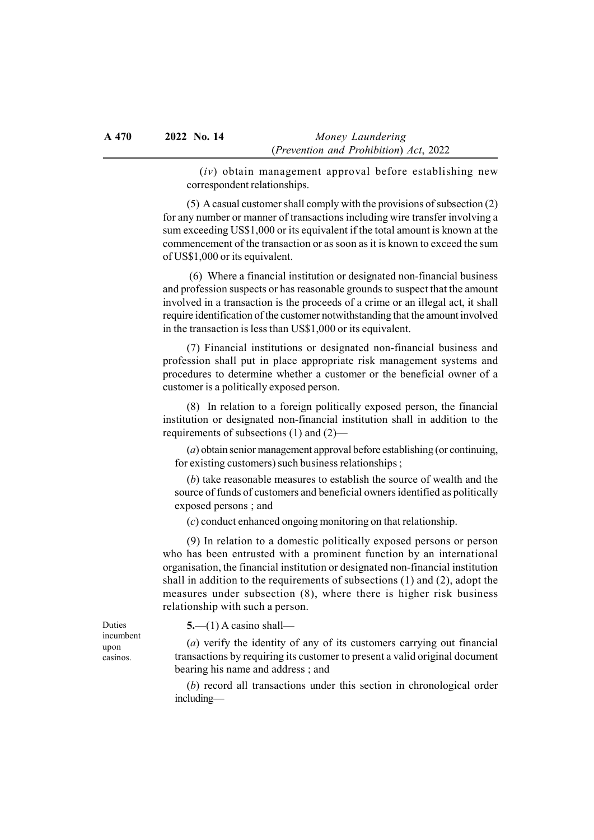$(iv)$  obtain management approval before establishing new correspondent relationships.

(5) A casual customer shall comply with the provisions of subsection (2) for any number or manner of transactions including wire transfer involving a sum exceeding US\$1,000 or its equivalent if the total amount is known at the commencement of the transaction or as soon as it is known to exceed the sum of US\$1,000 or its equivalent.

 (6) Where a financial institution or designated non-financial business and profession suspects or has reasonable grounds to suspect that the amount involved in a transaction is the proceeds of a crime or an illegal act, it shall require identification of the customer notwithstanding that the amount involved in the transaction is less than US\$1,000 or its equivalent.

(7) Financial institutions or designated non-financial business and profession shall put in place appropriate risk management systems and procedures to determine whether a customer or the beneficial owner of a customer is a politically exposed person.

(8) In relation to a foreign politically exposed person, the financial institution or designated non-financial institution shall in addition to the requirements of subsections (1) and (2)—

(a) obtain senior management approval before establishing (or continuing, for existing customers) such business relationships ;

(b) take reasonable measures to establish the source of wealth and the source of funds of customers and beneficial owners identified as politically exposed persons ; and

(c) conduct enhanced ongoing monitoring on that relationship.

(9) In relation to a domestic politically exposed persons or person who has been entrusted with a prominent function by an international organisation, the financial institution or designated non-financial institution shall in addition to the requirements of subsections (1) and (2), adopt the measures under subsection (8), where there is higher risk business relationship with such a person.

 $5-(1)$  A casino shall—

(a) verify the identity of any of its customers carrying out financial transactions by requiring its customer to present a valid original document bearing his name and address ; and

(b) record all transactions under this section in chronological order including—

Duties incumbent upon casinos.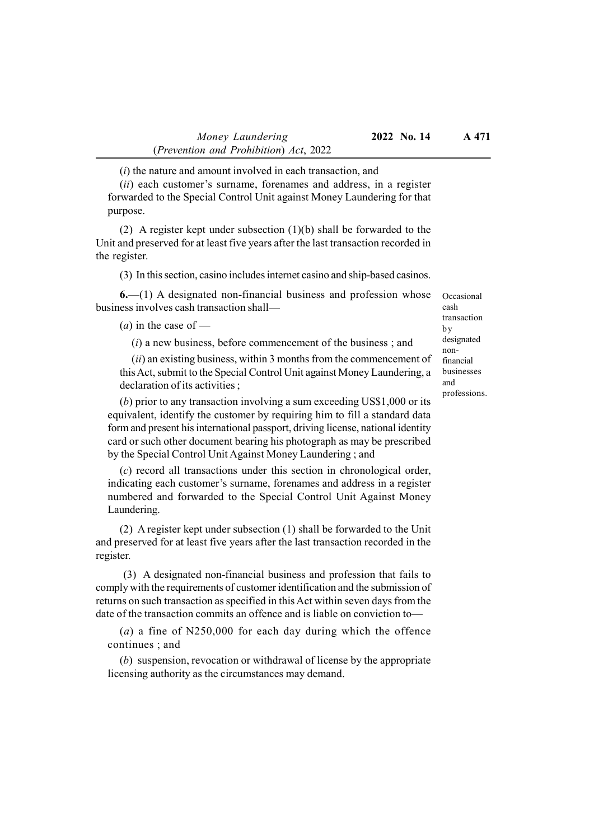$(i)$  the nature and amount involved in each transaction, and

(ii) each customer's surname, forenames and address, in a register forwarded to the Special Control Unit against Money Laundering for that purpose.

(2) A register kept under subsection (1)(b) shall be forwarded to the Unit and preserved for at least five years after the last transaction recorded in the register.

(3) In this section, casino includes internet casino and ship-based casinos.

6.—(1) A designated non-financial business and profession whose business involves cash transaction shall—

(*a*) in the case of  $-$ 

 $(i)$  a new business, before commencement of the business; and

 $(ii)$  an existing business, within 3 months from the commencement of this Act, submit to the Special Control Unit against Money Laundering, a declaration of its activities ;

(b) prior to any transaction involving a sum exceeding US\$1,000 or its equivalent, identify the customer by requiring him to fill a standard data form and present his international passport, driving license, national identity card or such other document bearing his photograph as may be prescribed by the Special Control Unit Against Money Laundering ; and

(c) record all transactions under this section in chronological order, indicating each customer's surname, forenames and address in a register numbered and forwarded to the Special Control Unit Against Money Laundering.

(2) A register kept under subsection (1) shall be forwarded to the Unit and preserved for at least five years after the last transaction recorded in the register.

 (3) A designated non-financial business and profession that fails to comply with the requirements of customer identification and the submission of returns on such transaction as specified in this Act within seven days from the date of the transaction commits an offence and is liable on conviction to—

(a) a fine of  $N250,000$  for each day during which the offence continues ; and

(b) suspension, revocation or withdrawal of license by the appropriate licensing authority as the circumstances may demand.

Occasional cash transaction by designated nonfinancial businesses and professions.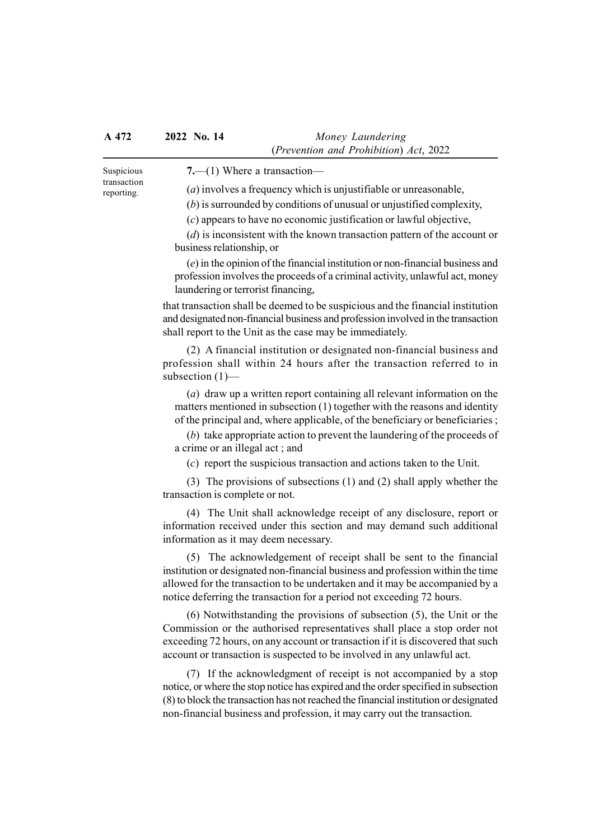Suspicious transaction reporting.

7.—(1) Where a transaction—

(a) involves a frequency which is unjustifiable or unreasonable,

(b) is surrounded by conditions of unusual or unjustified complexity,

(c) appears to have no economic justification or lawful objective,

(d) is inconsistent with the known transaction pattern of the account or business relationship, or

(e) in the opinion of the financial institution or non-financial business and profession involves the proceeds of a criminal activity, unlawful act, money laundering or terrorist financing,

that transaction shall be deemed to be suspicious and the financial institution and designated non-financial business and profession involved in the transaction shall report to the Unit as the case may be immediately.

(2) A financial institution or designated non-financial business and profession shall within 24 hours after the transaction referred to in subsection (1)—

(a) draw up a written report containing all relevant information on the matters mentioned in subsection (1) together with the reasons and identity of the principal and, where applicable, of the beneficiary or beneficiaries ;

(b) take appropriate action to prevent the laundering of the proceeds of a crime or an illegal act ; and

(c) report the suspicious transaction and actions taken to the Unit.

(3) The provisions of subsections (1) and (2) shall apply whether the transaction is complete or not.

(4) The Unit shall acknowledge receipt of any disclosure, report or information received under this section and may demand such additional information as it may deem necessary.

(5) The acknowledgement of receipt shall be sent to the financial institution or designated non-financial business and profession within the time allowed for the transaction to be undertaken and it may be accompanied by a notice deferring the transaction for a period not exceeding 72 hours.

(6) Notwithstanding the provisions of subsection (5), the Unit or the Commission or the authorised representatives shall place a stop order not exceeding 72 hours, on any account or transaction if it is discovered that such account or transaction is suspected to be involved in any unlawful act.

(7) If the acknowledgment of receipt is not accompanied by a stop notice, or where the stop notice has expired and the order specified in subsection (8) to block the transaction has not reached the financial institution or designated non-financial business and profession, it may carry out the transaction.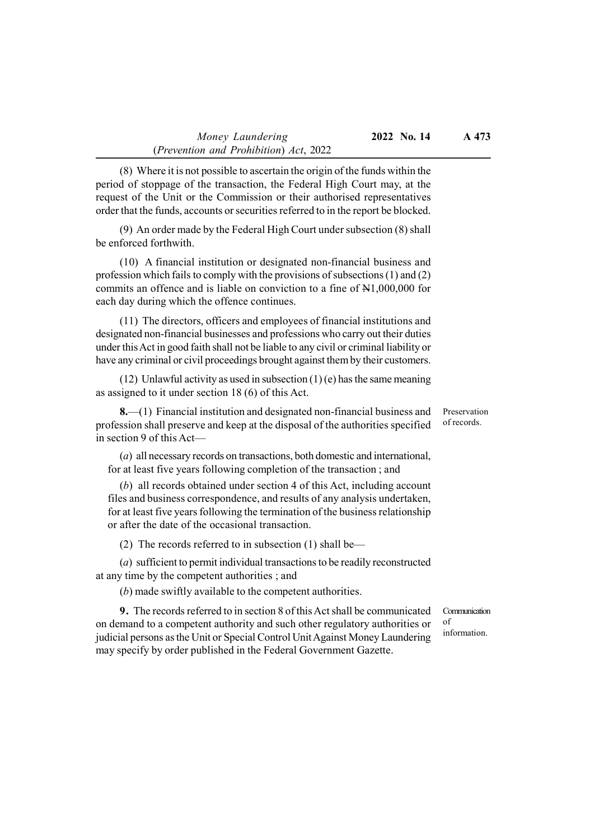(8) Where it is not possible to ascertain the origin of the funds within the period of stoppage of the transaction, the Federal High Court may, at the request of the Unit or the Commission or their authorised representatives order that the funds, accounts or securities referred to in the report be blocked.

(9) An order made by the Federal High Court under subsection (8) shall be enforced forthwith.

(10) A financial institution or designated non-financial business and profession which fails to comply with the provisions of subsections (1) and (2) commits an offence and is liable on conviction to a fine of N1,000,000 for each day during which the offence continues.

(11) The directors, officers and employees of financial institutions and designated non-financial businesses and professions who carry out their duties under this Act in good faith shall not be liable to any civil or criminal liability or have any criminal or civil proceedings brought against them by their customers.

(12) Unlawful activity as used in subsection  $(1)$  (e) has the same meaning as assigned to it under section 18 (6) of this Act.

8.—(1) Financial institution and designated non-financial business and profession shall preserve and keep at the disposal of the authorities specified in section 9 of this Act—

(a) all necessary records on transactions, both domestic and international, for at least five years following completion of the transaction ; and

(b) all records obtained under section 4 of this Act, including account files and business correspondence, and results of any analysis undertaken, for at least five years following the termination of the business relationship or after the date of the occasional transaction.

(2) The records referred to in subsection (1) shall be—

(a) sufficient to permit individual transactions to be readily reconstructed at any time by the competent authorities ; and

(b) made swiftly available to the competent authorities.

9. The records referred to in section 8 of this Act shall be communicated on demand to a competent authority and such other regulatory authorities or judicial persons as the Unit or Special Control Unit Against Money Laundering may specify by order published in the Federal Government Gazette.

Communication of information.

Preservation of records.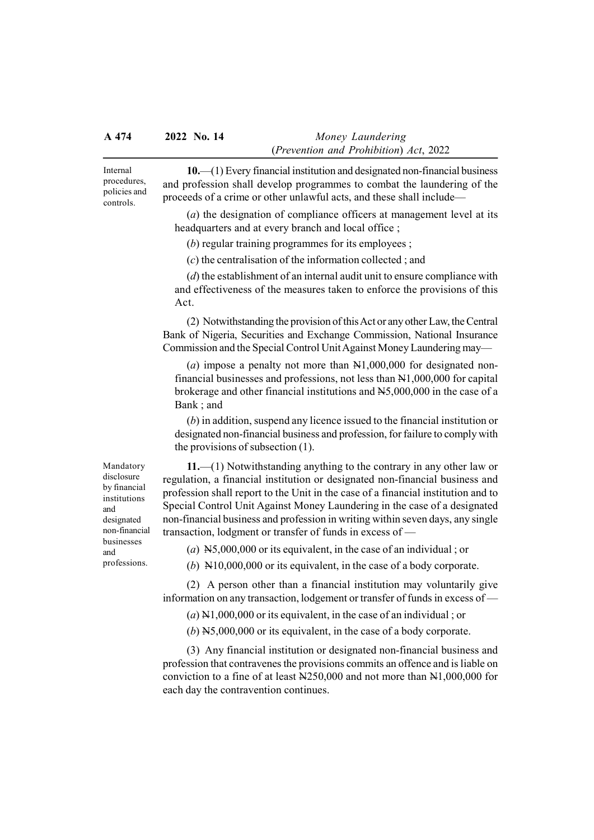Internal procedures, policies and controls.

10.—(1) Every financial institution and designated non-financial business and profession shall develop programmes to combat the laundering of the proceeds of a crime or other unlawful acts, and these shall include—

(a) the designation of compliance officers at management level at its headquarters and at every branch and local office ;

(b) regular training programmes for its employees ;

(c) the centralisation of the information collected ; and

(d) the establishment of an internal audit unit to ensure compliance with and effectiveness of the measures taken to enforce the provisions of this Act.

(2) Notwithstanding the provision of this Act or any other Law, the Central Bank of Nigeria, Securities and Exchange Commission, National Insurance Commission and the Special Control Unit Against Money Laundering may—

(a) impose a penalty not more than  $N1,000,000$  for designated nonfinancial businesses and professions, not less than N1,000,000 for capital brokerage and other financial institutions and N5,000,000 in the case of a Bank ; and

(b) in addition, suspend any licence issued to the financial institution or designated non-financial business and profession, for failure to comply with the provisions of subsection (1).

11.—(1) Notwithstanding anything to the contrary in any other law or regulation, a financial institution or designated non-financial business and profession shall report to the Unit in the case of a financial institution and to Special Control Unit Against Money Laundering in the case of a designated non-financial business and profession in writing within seven days, any single transaction, lodgment or transfer of funds in excess of —

(a)  $N5,000,000$  or its equivalent, in the case of an individual; or

(b) N10,000,000 or its equivalent, in the case of a body corporate.

(2) A person other than a financial institution may voluntarily give information on any transaction, lodgement or transfer of funds in excess of —

 $(a)$  N1,000,000 or its equivalent, in the case of an individual; or

(b) N5,000,000 or its equivalent, in the case of a body corporate.

(3) Any financial institution or designated non-financial business and profession that contravenes the provisions commits an offence and is liable on conviction to a fine of at least N250,000 and not more than N1,000,000 for each day the contravention continues.

Mandatory disclosure by financial institutions and designated non-financial businesses and professions.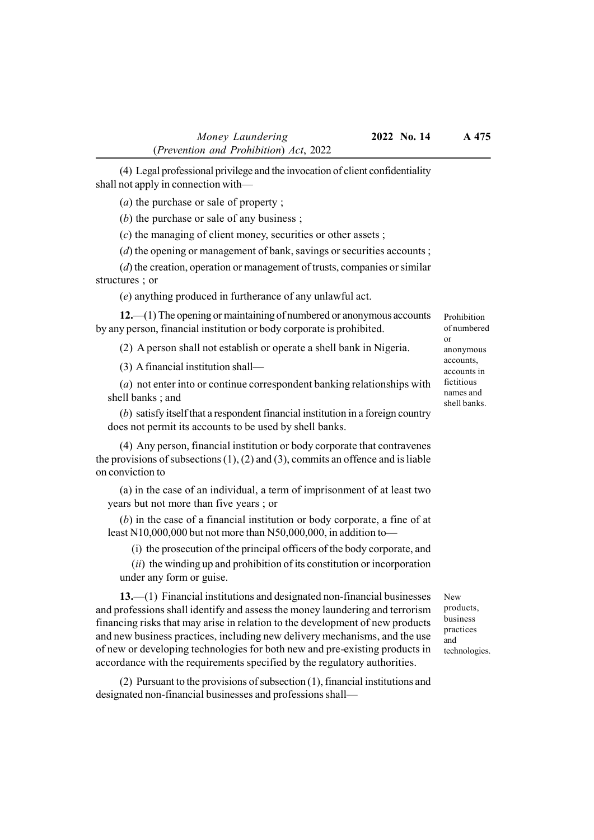(4) Legal professional privilege and the invocation of client confidentiality shall not apply in connection with—

(a) the purchase or sale of property ;

(b) the purchase or sale of any business ;

(c) the managing of client money, securities or other assets ;

(d) the opening or management of bank, savings or securities accounts;

(d) the creation, operation or management of trusts, companies or similar structures ; or

(e) anything produced in furtherance of any unlawful act.

12.—(1) The opening or maintaining of numbered or anonymous accounts by any person, financial institution or body corporate is prohibited.

(2) A person shall not establish or operate a shell bank in Nigeria.

(3) A financial institution shall—

(a) not enter into or continue correspondent banking relationships with shell banks ; and

(b) satisfy itself that a respondent financial institution in a foreign country does not permit its accounts to be used by shell banks.

(4) Any person, financial institution or body corporate that contravenes the provisions of subsections  $(1)$ ,  $(2)$  and  $(3)$ , commits an offence and is liable on conviction to

(a) in the case of an individual, a term of imprisonment of at least two years but not more than five years ; or

(b) in the case of a financial institution or body corporate, a fine of at least N10,000,000 but not more than N50,000,000, in addition to—

(i) the prosecution of the principal officers of the body corporate, and

 $(ii)$  the winding up and prohibition of its constitution or incorporation under any form or guise.

13.—(1) Financial institutions and designated non-financial businesses and professions shall identify and assess the money laundering and terrorism financing risks that may arise in relation to the development of new products and new business practices, including new delivery mechanisms, and the use of new or developing technologies for both new and pre-existing products in accordance with the requirements specified by the regulatory authorities.

(2) Pursuant to the provisions of subsection (1), financial institutions and designated non-financial businesses and professions shallProhibition of numbered or anonymous accounts, accounts in fictitious names and shell banks.

New products, business practices and technologies.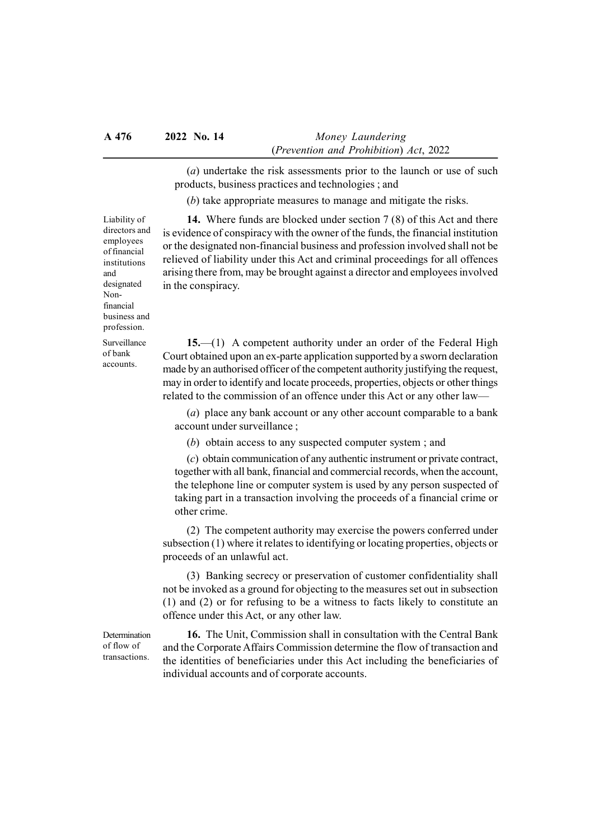(a) undertake the risk assessments prior to the launch or use of such products, business practices and technologies ; and

(b) take appropriate measures to manage and mitigate the risks.

14. Where funds are blocked under section 7 (8) of this Act and there is evidence of conspiracy with the owner of the funds, the financial institution or the designated non-financial business and profession involved shall not be relieved of liability under this Act and criminal proceedings for all offences arising there from, may be brought against a director and employees involved in the conspiracy.

15.—(1) A competent authority under an order of the Federal High Court obtained upon an ex-parte application supported by a sworn declaration made by an authorised officer of the competent authority justifying the request, may in order to identify and locate proceeds, properties, objects or other things related to the commission of an offence under this Act or any other law—

(a) place any bank account or any other account comparable to a bank account under surveillance ;

(b) obtain access to any suspected computer system ; and

(c) obtain communication of any authentic instrument or private contract, together with all bank, financial and commercial records, when the account, the telephone line or computer system is used by any person suspected of taking part in a transaction involving the proceeds of a financial crime or other crime.

(2) The competent authority may exercise the powers conferred under subsection (1) where it relates to identifying or locating properties, objects or proceeds of an unlawful act.

(3) Banking secrecy or preservation of customer confidentiality shall not be invoked as a ground for objecting to the measures set out in subsection (1) and (2) or for refusing to be a witness to facts likely to constitute an offence under this Act, or any other law.

Determination of flow of transactions.

16. The Unit, Commission shall in consultation with the Central Bank and the Corporate Affairs Commission determine the flow of transaction and the identities of beneficiaries under this Act including the beneficiaries of individual accounts and of corporate accounts.

directors and employees of financial institutions and designated Nonfinancial business and profession.

Surveillance of bank accounts.

Liability of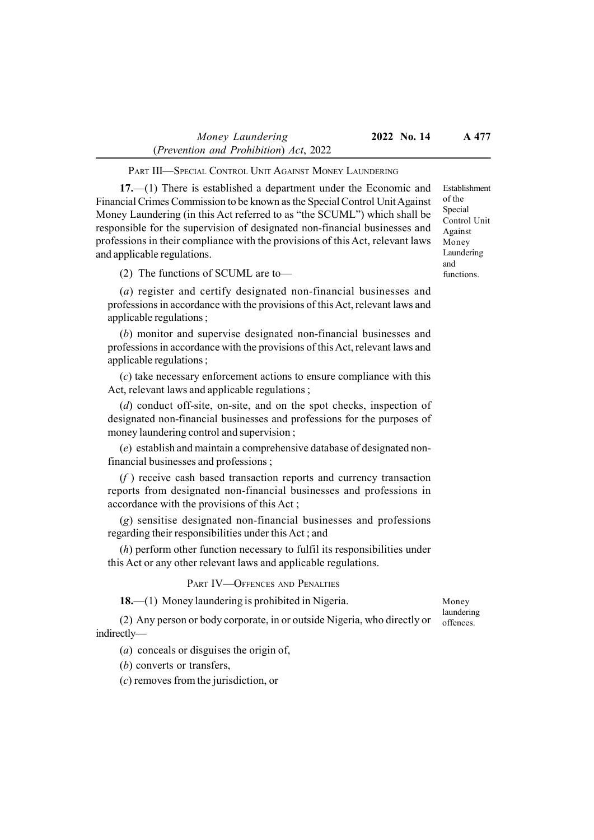#### PART III—SPECIAL CONTROL UNIT AGAINST MONEY LAUNDERING

17.—(1) There is established a department under the Economic and Financial Crimes Commission to be known as the Special Control Unit Against Money Laundering (in this Act referred to as "the SCUML") which shall be responsible for the supervision of designated non-financial businesses and professions in their compliance with the provisions of this Act, relevant laws and applicable regulations.

(2) The functions of SCUML are to—

(a) register and certify designated non-financial businesses and professions in accordance with the provisions of this Act, relevant laws and applicable regulations ;

(b) monitor and supervise designated non-financial businesses and professions in accordance with the provisions of this Act, relevant laws and applicable regulations ;

(c) take necessary enforcement actions to ensure compliance with this Act, relevant laws and applicable regulations ;

(d) conduct off-site, on-site, and on the spot checks, inspection of designated non-financial businesses and professions for the purposes of money laundering control and supervision ;

(e) establish and maintain a comprehensive database of designated nonfinancial businesses and professions ;

 $(f)$  receive cash based transaction reports and currency transaction reports from designated non-financial businesses and professions in accordance with the provisions of this Act ;

(g) sensitise designated non-financial businesses and professions regarding their responsibilities under this Act ; and

(h) perform other function necessary to fulfil its responsibilities under this Act or any other relevant laws and applicable regulations.

#### PART IV-OFFENCES AND PENALTIES

18.—(1) Money laundering is prohibited in Nigeria.

(2) Any person or body corporate, in or outside Nigeria, who directly or indirectly—

(a) conceals or disguises the origin of,

(b) converts or transfers,

(c) removes from the jurisdiction, or

Money laundering offences.

Establishment of the Special Control Unit Against Money Laundering and functions.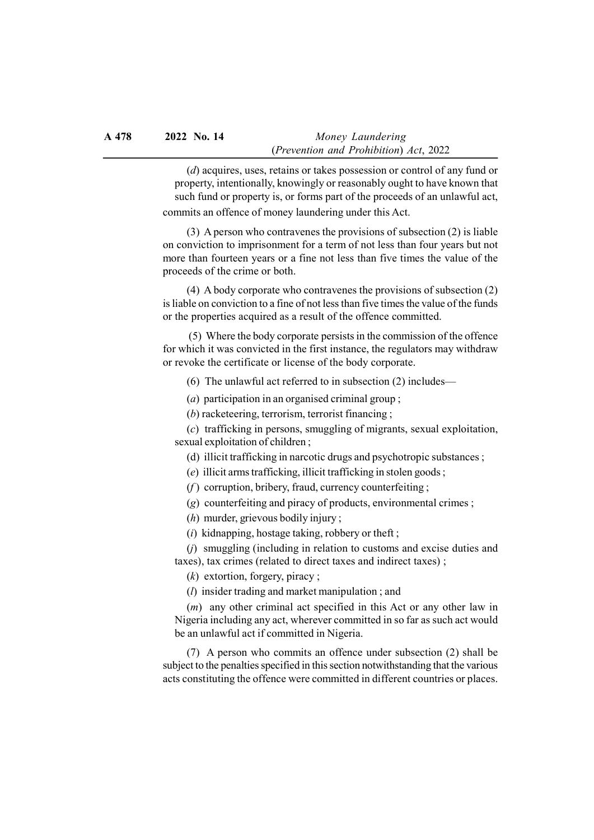(d) acquires, uses, retains or takes possession or control of any fund or property, intentionally, knowingly or reasonably ought to have known that such fund or property is, or forms part of the proceeds of an unlawful act,

commits an offence of money laundering under this Act.

(3) A person who contravenes the provisions of subsection (2) is liable on conviction to imprisonment for a term of not less than four years but not more than fourteen years or a fine not less than five times the value of the proceeds of the crime or both.

(4) A body corporate who contravenes the provisions of subsection (2) is liable on conviction to a fine of not less than five times the value of the funds or the properties acquired as a result of the offence committed.

 (5) Where the body corporate persists in the commission of the offence for which it was convicted in the first instance, the regulators may withdraw or revoke the certificate or license of the body corporate.

(6) The unlawful act referred to in subsection (2) includes—

(a) participation in an organised criminal group ;

(b) racketeering, terrorism, terrorist financing ;

(c) trafficking in persons, smuggling of migrants, sexual exploitation, sexual exploitation of children ;

(d) illicit trafficking in narcotic drugs and psychotropic substances ;

(e) illicit arms trafficking, illicit trafficking in stolen goods ;

 $(f)$  corruption, bribery, fraud, currency counterfeiting;

(g) counterfeiting and piracy of products, environmental crimes ;

(h) murder, grievous bodily injury ;

(i) kidnapping, hostage taking, robbery or theft ;

(j) smuggling (including in relation to customs and excise duties and taxes), tax crimes (related to direct taxes and indirect taxes) ;

 $(k)$  extortion, forgery, piracy;

(l) insider trading and market manipulation ; and

(m) any other criminal act specified in this Act or any other law in Nigeria including any act, wherever committed in so far as such act would be an unlawful act if committed in Nigeria.

(7) A person who commits an offence under subsection (2) shall be subject to the penalties specified in this section notwithstanding that the various acts constituting the offence were committed in different countries or places.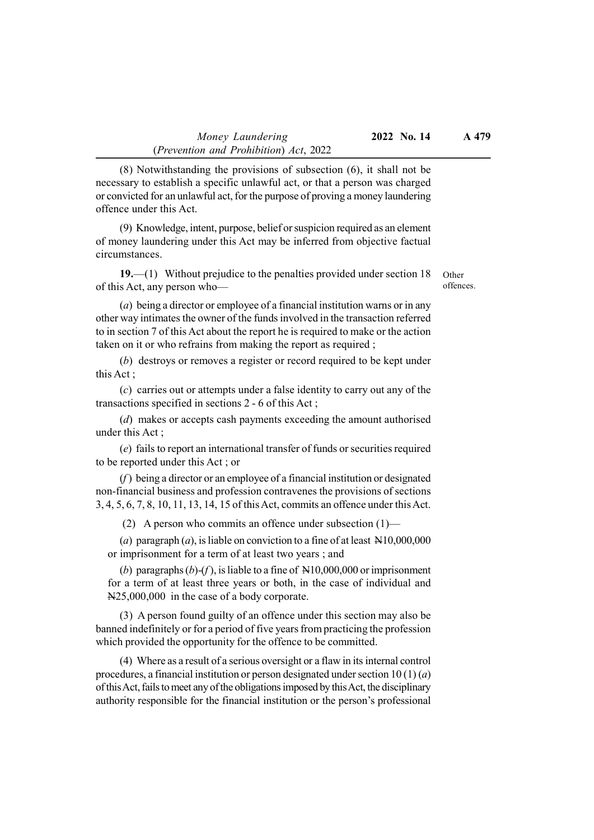(8) Notwithstanding the provisions of subsection (6), it shall not be necessary to establish a specific unlawful act, or that a person was charged or convicted for an unlawful act, for the purpose of proving a money laundering offence under this Act.

(9) Knowledge, intent, purpose, belief or suspicion required as an element of money laundering under this Act may be inferred from objective factual circumstances.

19.—(1) Without prejudice to the penalties provided under section 18 of this Act, any person who—

Other offences.

(a) being a director or employee of a financial institution warns or in any other way intimates the owner of the funds involved in the transaction referred to in section 7 of this Act about the report he is required to make or the action taken on it or who refrains from making the report as required ;

(b) destroys or removes a register or record required to be kept under this Act ;

(c) carries out or attempts under a false identity to carry out any of the transactions specified in sections 2 - 6 of this Act ;

(d) makes or accepts cash payments exceeding the amount authorised under this Act ;

(e) fails to report an international transfer of funds or securities required to be reported under this Act ; or

 $(f)$  being a director or an employee of a financial institution or designated non-financial business and profession contravenes the provisions of sections 3, 4, 5, 6, 7, 8, 10, 11, 13, 14, 15 of this Act, commits an offence under this Act.

(2) A person who commits an offence under subsection  $(1)$ —

(a) paragraph  $(a)$ , is liable on conviction to a fine of at least  $N10,000,000$ or imprisonment for a term of at least two years ; and

(b) paragraphs  $(b)-(f)$ , is liable to a fine of  $N10,000,000$  or imprisonment for a term of at least three years or both, in the case of individual and N25,000,000 in the case of a body corporate.

(3) A person found guilty of an offence under this section may also be banned indefinitely or for a period of five years from practicing the profession which provided the opportunity for the offence to be committed.

(4) Where as a result of a serious oversight or a flaw in its internal control procedures, a financial institution or person designated under section  $10(1)(a)$ of this Act, fails to meet any of the obligations imposed by this Act, the disciplinary authority responsible for the financial institution or the person's professional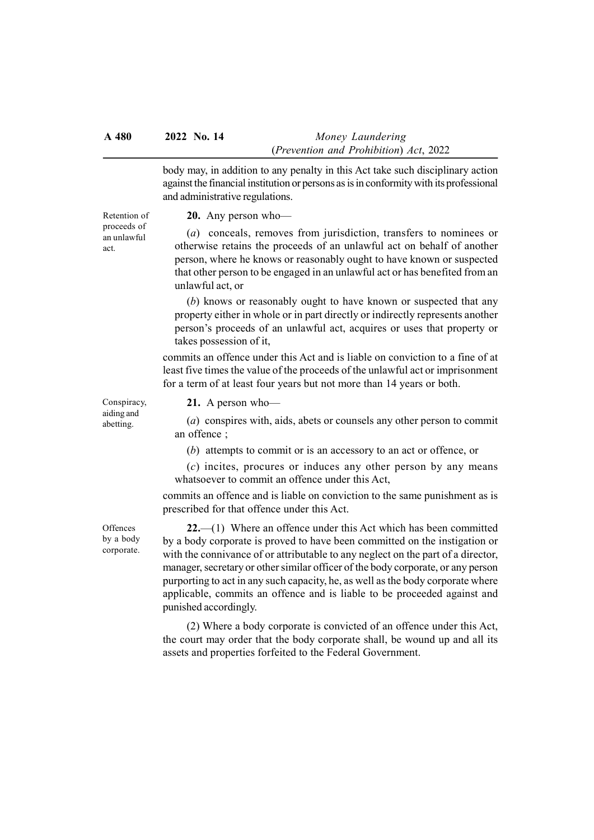body may, in addition to any penalty in this Act take such disciplinary action against the financial institution or persons as is in conformity with its professional and administrative regulations.

20. Any person who—

Retention of proceeds of an unlawful act.

(a) conceals, removes from jurisdiction, transfers to nominees or otherwise retains the proceeds of an unlawful act on behalf of another person, where he knows or reasonably ought to have known or suspected that other person to be engaged in an unlawful act or has benefited from an unlawful act, or

(b) knows or reasonably ought to have known or suspected that any property either in whole or in part directly or indirectly represents another person's proceeds of an unlawful act, acquires or uses that property or takes possession of it,

commits an offence under this Act and is liable on conviction to a fine of at least five times the value of the proceeds of the unlawful act or imprisonment for a term of at least four years but not more than 14 years or both.

Conspiracy, aiding and abetting.

21. A person who—

(a) conspires with, aids, abets or counsels any other person to commit an offence ;

(b) attempts to commit or is an accessory to an act or offence, or

 $(c)$  incites, procures or induces any other person by any means whatsoever to commit an offence under this Act,

commits an offence and is liable on conviction to the same punishment as is prescribed for that offence under this Act.

**Offences** by a body corporate.

22.—(1) Where an offence under this Act which has been committed by a body corporate is proved to have been committed on the instigation or with the connivance of or attributable to any neglect on the part of a director, manager, secretary or other similar officer of the body corporate, or any person purporting to act in any such capacity, he, as well as the body corporate where applicable, commits an offence and is liable to be proceeded against and punished accordingly.

(2) Where a body corporate is convicted of an offence under this Act, the court may order that the body corporate shall, be wound up and all its assets and properties forfeited to the Federal Government.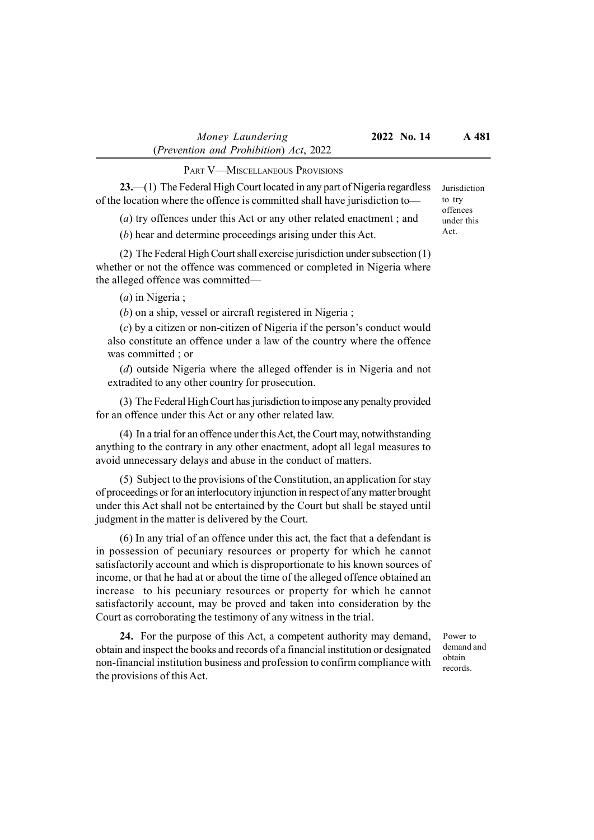PART V—MISCELLANEOUS PROVISIONS

23.—(1) The Federal High Court located in any part of Nigeria regardless of the location where the offence is committed shall have jurisdiction to—

(a) try offences under this Act or any other related enactment ; and

(b) hear and determine proceedings arising under this Act.

(2) The Federal High Court shall exercise jurisdiction under subsection (1) whether or not the offence was commenced or completed in Nigeria where the alleged offence was committed—

(a) in Nigeria ;

(b) on a ship, vessel or aircraft registered in Nigeria ;

(c) by a citizen or non-citizen of Nigeria if the person's conduct would also constitute an offence under a law of the country where the offence was committed ; or

(d) outside Nigeria where the alleged offender is in Nigeria and not extradited to any other country for prosecution.

(3) The Federal High Court has jurisdiction to impose any penalty provided for an offence under this Act or any other related law.

(4) In a trial for an offence under this Act, the Court may, notwithstanding anything to the contrary in any other enactment, adopt all legal measures to avoid unnecessary delays and abuse in the conduct of matters.

(5) Subject to the provisions of the Constitution, an application for stay of proceedings or for an interlocutory injunction in respect of any matter brought under this Act shall not be entertained by the Court but shall be stayed until judgment in the matter is delivered by the Court.

(6) In any trial of an offence under this act, the fact that a defendant is in possession of pecuniary resources or property for which he cannot satisfactorily account and which is disproportionate to his known sources of income, or that he had at or about the time of the alleged offence obtained an increase to his pecuniary resources or property for which he cannot satisfactorily account, may be proved and taken into consideration by the Court as corroborating the testimony of any witness in the trial.

24. For the purpose of this Act, a competent authority may demand, obtain and inspect the books and records of a financial institution or designated non-financial institution business and profession to confirm compliance with the provisions of this Act.

Power to demand and obtain records.

Jurisdiction to try offences under this Act.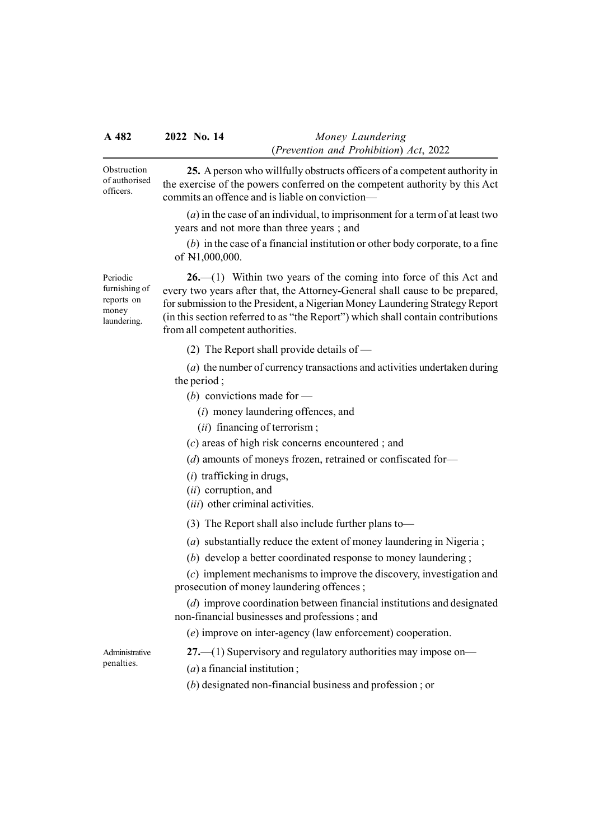Obstruction of authorised officers.

25. A person who willfully obstructs officers of a competent authority in the exercise of the powers conferred on the competent authority by this Act commits an offence and is liable on conviction—

 $(a)$  in the case of an individual, to imprisonment for a term of at least two years and not more than three years ; and

(b) in the case of a financial institution or other body corporate, to a fine of N1,000,000.

Periodic furnishing of reports on money laundering.

 $26.$  (1) Within two years of the coming into force of this Act and every two years after that, the Attorney-General shall cause to be prepared, for submission to the President, a Nigerian Money Laundering Strategy Report (in this section referred to as "the Report") which shall contain contributions from all competent authorities.

(2) The Report shall provide details of —

(a) the number of currency transactions and activities undertaken during the period ;

- (b) convictions made for  $-$ 
	- (i) money laundering offences, and
	- (*ii*) financing of terrorism;
- (c) areas of high risk concerns encountered ; and
- (d) amounts of moneys frozen, retrained or confiscated for—
- $(i)$  trafficking in drugs,
- (ii) corruption, and
- (*iii*) other criminal activities.
- (3) The Report shall also include further plans to—

(a) substantially reduce the extent of money laundering in Nigeria ;

(b) develop a better coordinated response to money laundering ;

(c) implement mechanisms to improve the discovery, investigation and prosecution of money laundering offences ;

(d) improve coordination between financial institutions and designated non-financial businesses and professions ; and

(e) improve on inter-agency (law enforcement) cooperation.

Administrative penalties.

27.—(1) Supervisory and regulatory authorities may impose on—

 $(a)$  a financial institution;

(b) designated non-financial business and profession ; or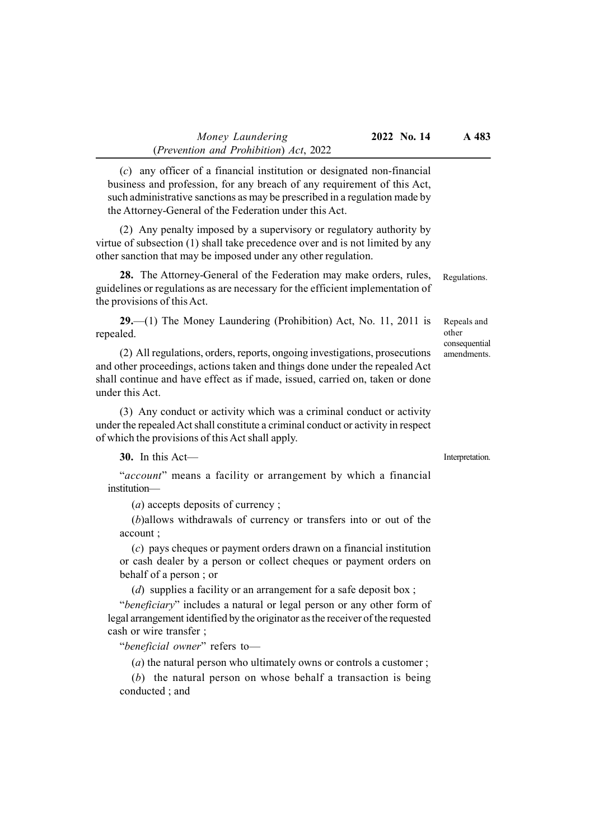(c) any officer of a financial institution or designated non-financial business and profession, for any breach of any requirement of this Act, such administrative sanctions as may be prescribed in a regulation made by the Attorney-General of the Federation under this Act.

(2) Any penalty imposed by a supervisory or regulatory authority by virtue of subsection (1) shall take precedence over and is not limited by any other sanction that may be imposed under any other regulation.

28. The Attorney-General of the Federation may make orders, rules, guidelines or regulations as are necessary for the efficient implementation of the provisions of this Act.

29.—(1) The Money Laundering (Prohibition) Act, No. 11, 2011 is repealed.

(2) All regulations, orders, reports, ongoing investigations, prosecutions and other proceedings, actions taken and things done under the repealed Act shall continue and have effect as if made, issued, carried on, taken or done under this Act.

(3) Any conduct or activity which was a criminal conduct or activity under the repealed Act shall constitute a criminal conduct or activity in respect of which the provisions of this Act shall apply.

30. In this Act—

"account" means a facility or arrangement by which a financial institution—

(a) accepts deposits of currency ;

(b)allows withdrawals of currency or transfers into or out of the account ;

(c) pays cheques or payment orders drawn on a financial institution or cash dealer by a person or collect cheques or payment orders on behalf of a person ; or

(d) supplies a facility or an arrangement for a safe deposit box;

"beneficiary" includes a natural or legal person or any other form of legal arrangement identified by the originator as the receiver of the requested cash or wire transfer ;

"beneficial owner" refers to-

 $(a)$  the natural person who ultimately owns or controls a customer;

(b) the natural person on whose behalf a transaction is being conducted ; and

Interpretation.

Regulations.

Repeals and other consequential amendments.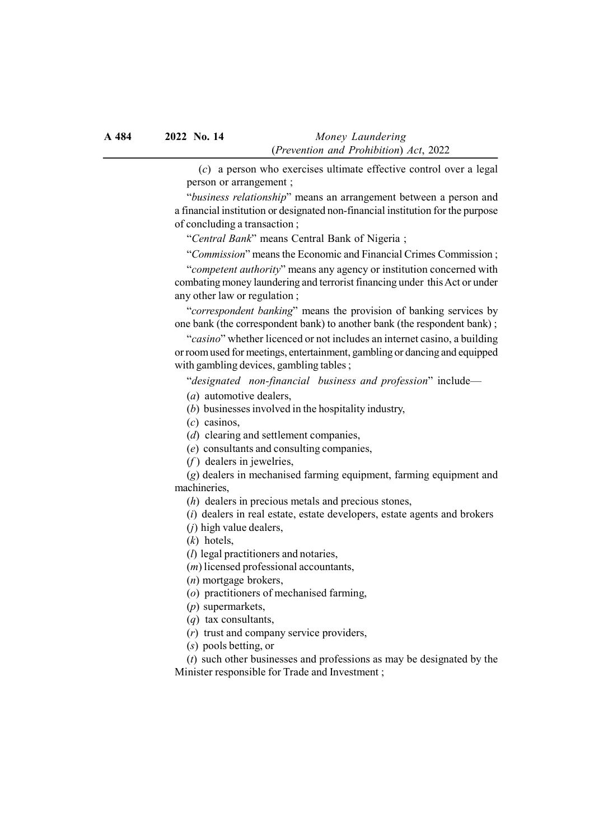(c) a person who exercises ultimate effective control over a legal person or arrangement ;

"business relationship" means an arrangement between a person and a financial institution or designated non-financial institution for the purpose of concluding a transaction ;

"Central Bank" means Central Bank of Nigeria ;

"Commission" means the Economic and Financial Crimes Commission ;

"competent authority" means any agency or institution concerned with combating money laundering and terrorist financing under this Act or under any other law or regulation ;

"correspondent banking" means the provision of banking services by one bank (the correspondent bank) to another bank (the respondent bank) ;

"casino" whether licenced or not includes an internet casino, a building or room used for meetings, entertainment, gambling or dancing and equipped with gambling devices, gambling tables ;

"designated non-financial business and profession" include—

(a) automotive dealers,

(b) businesses involved in the hospitality industry,

 $(c)$  casinos,

(d) clearing and settlement companies,

(e) consultants and consulting companies,

 $(f)$  dealers in jewelries,

(g) dealers in mechanised farming equipment, farming equipment and machineries,

(h) dealers in precious metals and precious stones,

(i) dealers in real estate, estate developers, estate agents and brokers

(j) high value dealers,

(k) hotels,

(l) legal practitioners and notaries,

(m) licensed professional accountants,

(n) mortgage brokers,

(o) practitioners of mechanised farming,

(p) supermarkets,

(q) tax consultants,

(r) trust and company service providers,

(s) pools betting, or

 $(t)$  such other businesses and professions as may be designated by the Minister responsible for Trade and Investment ;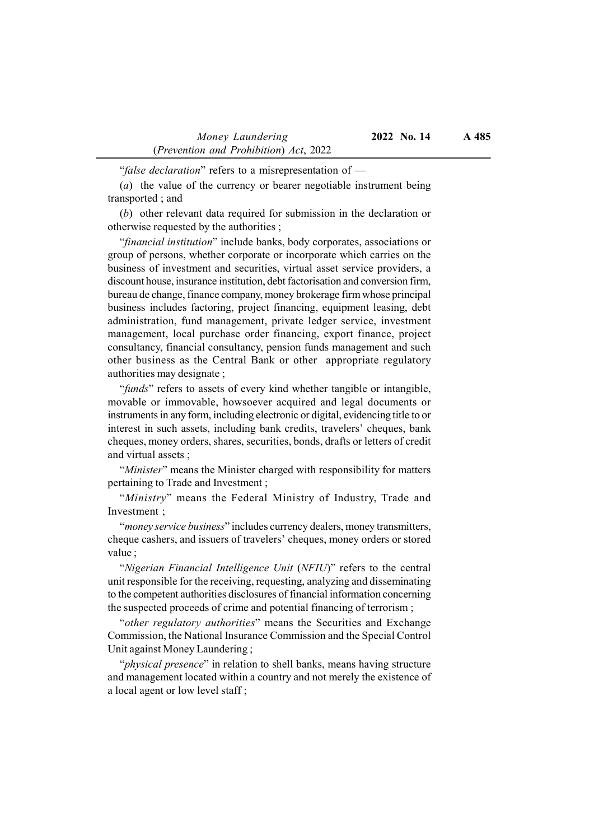"false declaration" refers to a misrepresentation of —

(a) the value of the currency or bearer negotiable instrument being transported ; and

(b) other relevant data required for submission in the declaration or otherwise requested by the authorities ;

"financial institution" include banks, body corporates, associations or group of persons, whether corporate or incorporate which carries on the business of investment and securities, virtual asset service providers, a discount house, insurance institution, debt factorisation and conversion firm, bureau de change, finance company, money brokerage firm whose principal business includes factoring, project financing, equipment leasing, debt administration, fund management, private ledger service, investment management, local purchase order financing, export finance, project consultancy, financial consultancy, pension funds management and such other business as the Central Bank or other appropriate regulatory authorities may designate ;

"funds" refers to assets of every kind whether tangible or intangible, movable or immovable, howsoever acquired and legal documents or instruments in any form, including electronic or digital, evidencing title to or interest in such assets, including bank credits, travelers' cheques, bank cheques, money orders, shares, securities, bonds, drafts or letters of credit and virtual assets ;

"Minister" means the Minister charged with responsibility for matters pertaining to Trade and Investment ;

"Ministry" means the Federal Ministry of Industry, Trade and Investment ;

"money service business" includes currency dealers, money transmitters, cheque cashers, and issuers of travelers' cheques, money orders or stored value ;

"Nigerian Financial Intelligence Unit (NFIU)" refers to the central unit responsible for the receiving, requesting, analyzing and disseminating to the competent authorities disclosures of financial information concerning the suspected proceeds of crime and potential financing of terrorism ;

"other regulatory authorities" means the Securities and Exchange Commission, the National Insurance Commission and the Special Control Unit against Money Laundering ;

"*physical presence*" in relation to shell banks, means having structure and management located within a country and not merely the existence of a local agent or low level staff ;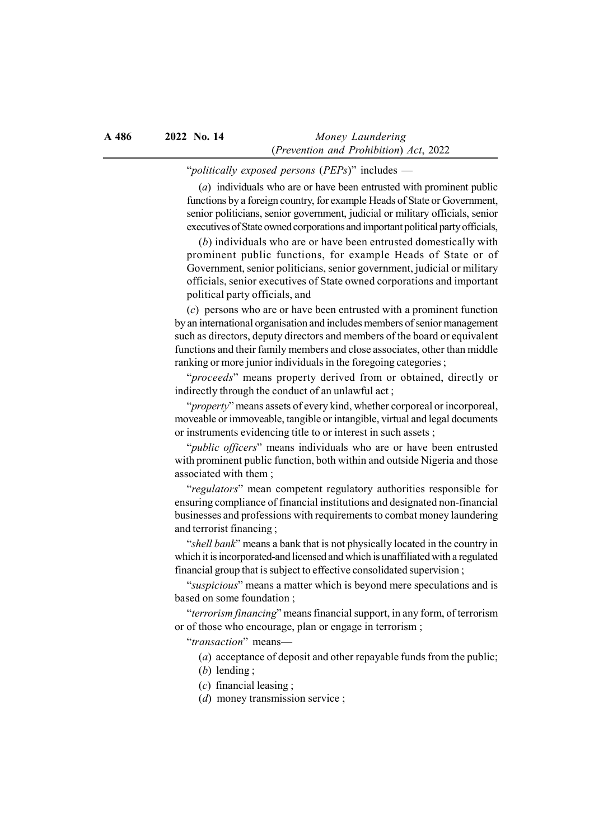#### "politically exposed persons (PEPs)" includes —

(a) individuals who are or have been entrusted with prominent public functions by a foreign country, for example Heads of State or Government, senior politicians, senior government, judicial or military officials, senior executives of State owned corporations and important political party officials,

(b) individuals who are or have been entrusted domestically with prominent public functions, for example Heads of State or of Government, senior politicians, senior government, judicial or military officials, senior executives of State owned corporations and important political party officials, and

(c) persons who are or have been entrusted with a prominent function by an international organisation and includes members of senior management such as directors, deputy directors and members of the board or equivalent functions and their family members and close associates, other than middle ranking or more junior individuals in the foregoing categories;

"proceeds" means property derived from or obtained, directly or indirectly through the conduct of an unlawful act ;

"property" means assets of every kind, whether corporeal or incorporeal, moveable or immoveable, tangible or intangible, virtual and legal documents or instruments evidencing title to or interest in such assets ;

"*public officers*" means individuals who are or have been entrusted with prominent public function, both within and outside Nigeria and those associated with them ;

"regulators" mean competent regulatory authorities responsible for ensuring compliance of financial institutions and designated non-financial businesses and professions with requirements to combat money laundering and terrorist financing ;

"shell bank" means a bank that is not physically located in the country in which it is incorporated-and licensed and which is unaffiliated with a regulated financial group that is subject to effective consolidated supervision ;

"suspicious" means a matter which is beyond mere speculations and is based on some foundation ;

"terrorism financing" means financial support, in any form, of terrorism or of those who encourage, plan or engage in terrorism ;

"transaction" means—

(a) acceptance of deposit and other repayable funds from the public;

- (b) lending ;
- $(c)$  financial leasing;
- (d) money transmission service ;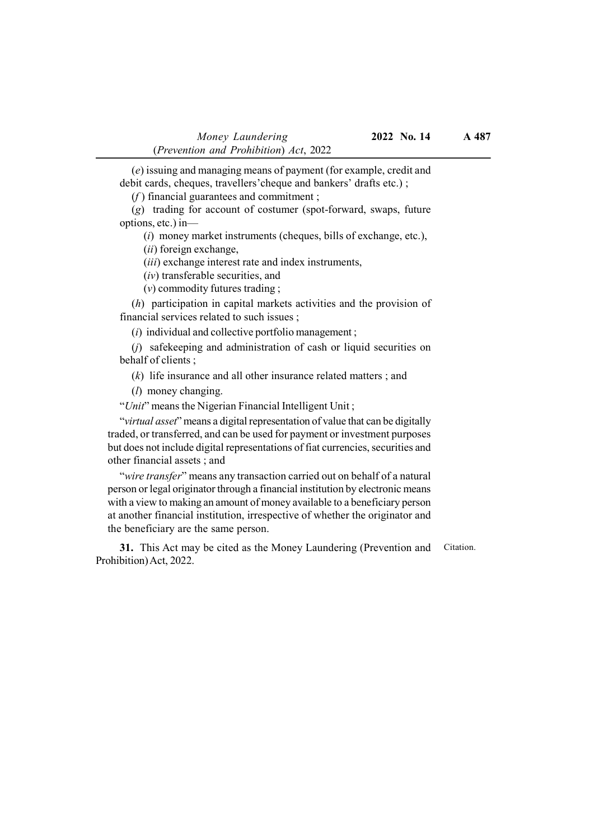(e) issuing and managing means of payment (for example, credit and debit cards, cheques, travellers'cheque and bankers' drafts etc.) ;

 $(f)$  financial guarantees and commitment;

(g) trading for account of costumer (spot-forward, swaps, future options, etc.) in—

(i) money market instruments (cheques, bills of exchange, etc.),

(ii) foreign exchange,

(*iii*) exchange interest rate and index instruments,

(iv) transferable securities, and

(v) commodity futures trading ;

(h) participation in capital markets activities and the provision of financial services related to such issues ;

 $(i)$  individual and collective portfolio management;

(j) safekeeping and administration of cash or liquid securities on behalf of clients ;

 $(k)$  life insurance and all other insurance related matters; and

(l) money changing.

"Unit" means the Nigerian Financial Intelligent Unit;

"*virtual asset*" means a digital representation of value that can be digitally traded, or transferred, and can be used for payment or investment purposes but does not include digital representations of fiat currencies, securities and other financial assets ; and

"wire transfer" means any transaction carried out on behalf of a natural person or legal originator through a financial institution by electronic means with a view to making an amount of money available to a beneficiary person at another financial institution, irrespective of whether the originator and the beneficiary are the same person.

31. This Act may be cited as the Money Laundering (Prevention and Prohibition) Act, 2022. Citation.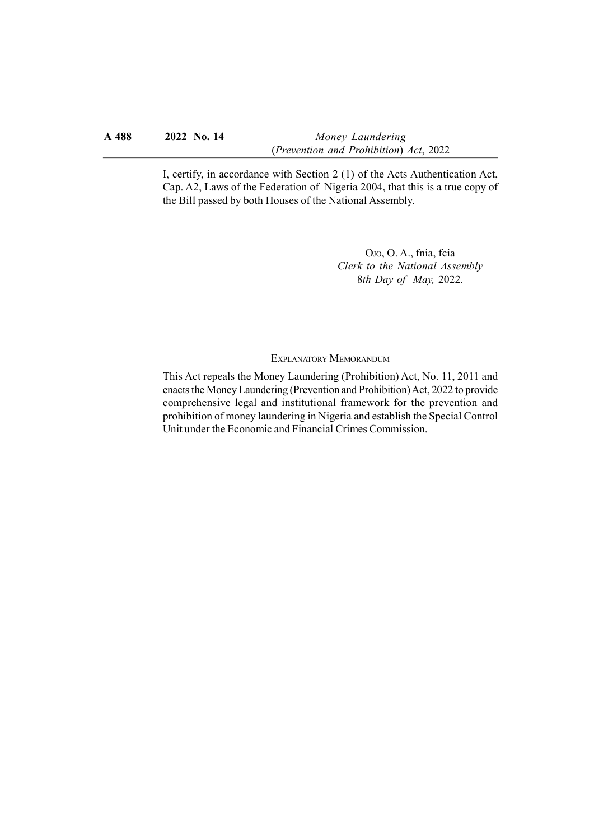#### A 488 2022 No. 14 Money Laundering (Prevention and Prohibition) Act, 2022

I, certify, in accordance with Section 2 (1) of the Acts Authentication Act, Cap. A2, Laws of the Federation of Nigeria 2004, that this is a true copy of the Bill passed by both Houses of the National Assembly.

> OJO, O. A., fnia, fcia Clerk to the National Assembly 8th Day of May, 2022.

EXPLANATORY MEMORANDUM

This Act repeals the Money Laundering (Prohibition) Act, No. 11, 2011 and enacts the Money Laundering (Prevention and Prohibition) Act, 2022 to provide comprehensive legal and institutional framework for the prevention and prohibition of money laundering in Nigeria and establish the Special Control Unit under the Economic and Financial Crimes Commission.